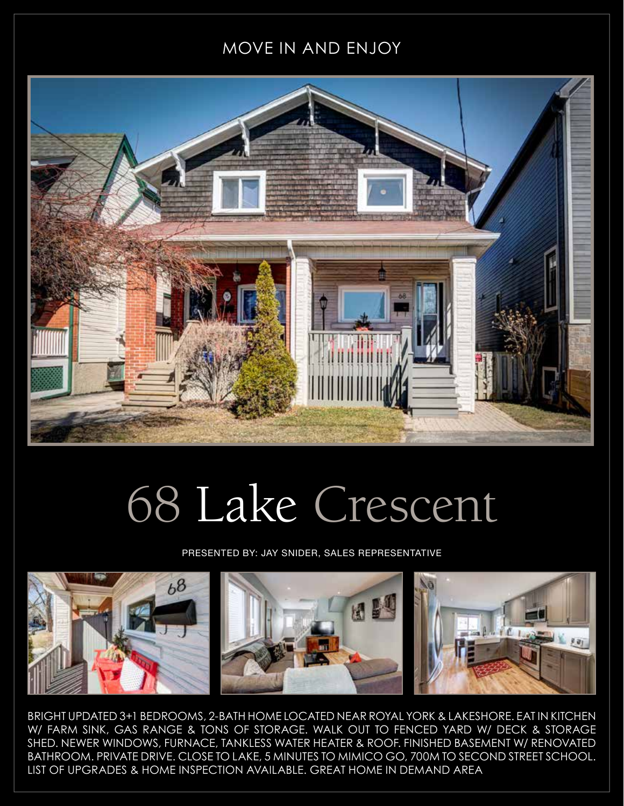## MOVE IN AND ENJOY



## 68 Lake Crescent

PRESENTED BY: JAY SNIDER, SALES REPRESENTATIVE



BRIGHT UPDATED 3+1 BEDROOMS, 2-BATH HOME LOCATED NEAR ROYAL YORK & LAKESHORE. EAT IN KITCHEN W/ FARM SINK, GAS RANGE & TONS OF STORAGE. WALK OUT TO FENCED YARD W/ DECK & STORAGE SHED. NEWER WINDOWS, FURNACE, TANKLESS WATER HEATER & ROOF. FINISHED BASEMENT W/ RENOVATED BATHROOM. PRIVATE DRIVE. CLOSE TO LAKE, 5 MINUTES TO MIMICO GO, 700M TO SECOND STREET SCHOOL. LIST OF UPGRADES & HOME INSPECTION AVAILABLE. GREAT HOME IN DEMAND AREA